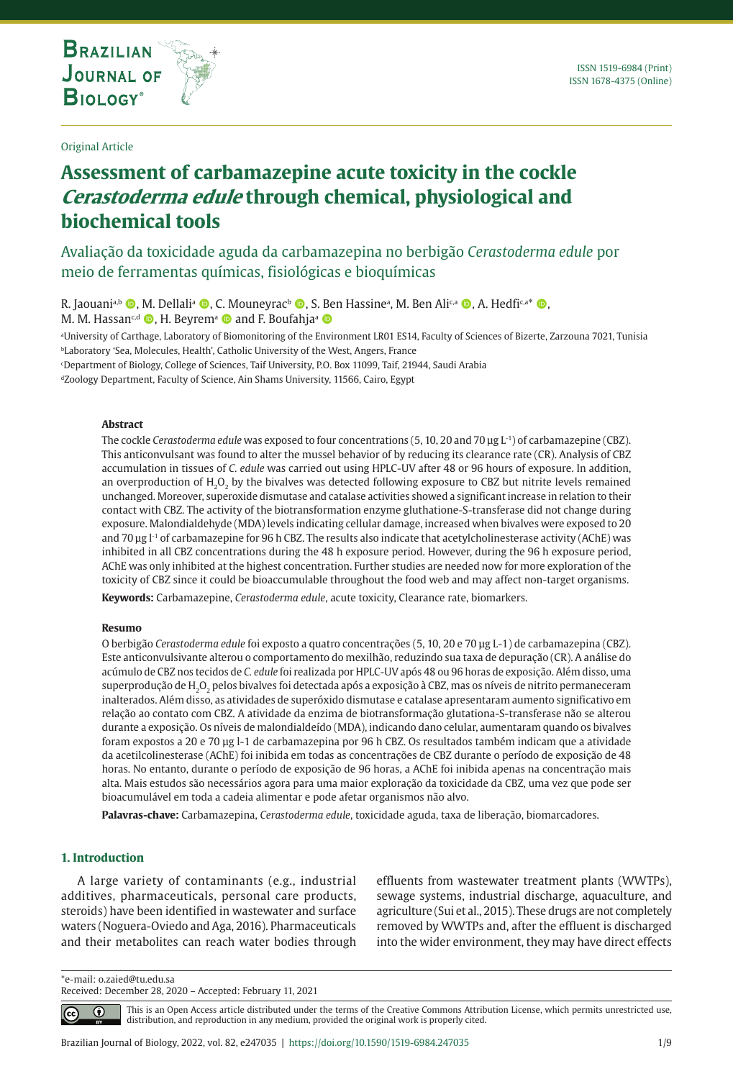**THE INTERNATIONAL JOURNAL ON GLOBAL BIODIVERSITY AND ENVIRONMENT**

Original Article

# **Assessment of carbamazepine acute toxicity in the cockle Cerastoderma edule through chemical, physiological and biochemical tools**

Avaliação da toxicidade aguda da carbamazepina no berbigão *Cerastoderma edule* por meio de ferramentas químicas, fisiológicas e bioquímicas

R. Jaouani<sup>a,b</sup> (@, M. Dellali<sup>a</sup> (@, C. Mouneyrac<sup>b</sup> (@, S. Ben Hassineª, M. Ben Ali<sup>c,a</sup> (@, A. Hedfi<sup>c,a\*</sup> (@, M. M. Hassan<sup>c,d</sup>  $\bullet$ , H. Beyrem<sup>a</sup>  $\bullet$  and F. Boufahja<sup>a</sup>  $\bullet$ 

a University of Carthage, Laboratory of Biomonitoring of the Environment LR01 ES14, Faculty of Sciences of Bizerte, Zarzouna 7021, Tunisia **bLaboratory 'Sea, Molecules, Health', Catholic University of the West, Angers, France** 

c Department of Biology, College of Sciences, Taif University, P.O. Box 11099, Taif, 21944, Saudi Arabia

dZoology Department, Faculty of Science, Ain Shams University, 11566, Cairo, Egypt

#### **Abstract**

The cockle *Cerastoderma edule* was exposed to four concentrations (5, 10, 20 and 70 μg L-1) of carbamazepine (CBZ). This anticonvulsant was found to alter the mussel behavior of by reducing its clearance rate (CR). Analysis of CBZ accumulation in tissues of *C. edule* was carried out using HPLC-UV after 48 or 96 hours of exposure. In addition, an overproduction of H<sub>2</sub>O<sub>2</sub> by the bivalves was detected following exposure to CBZ but nitrite levels remained unchanged. Moreover, superoxide dismutase and catalase activities showed a significant increase in relation to their contact with CBZ. The activity of the biotransformation enzyme gluthatione-S-transferase did not change during exposure. Malondialdehyde (MDA) levels indicating cellular damage, increased when bivalves were exposed to 20 and 70 μg l-1 of carbamazepine for 96 h CBZ. The results also indicate that acetylcholinesterase activity (AChE) was inhibited in all CBZ concentrations during the 48 h exposure period. However, during the 96 h exposure period, AChE was only inhibited at the highest concentration. Further studies are needed now for more exploration of the toxicity of CBZ since it could be bioaccumulable throughout the food web and may affect non-target organisms.

**Keywords:** Carbamazepine, *Cerastoderma edule*, acute toxicity, Clearance rate, biomarkers.

#### **Resumo**

O berbigão *Cerastoderma edule* foi exposto a quatro concentrações (5, 10, 20 e 70 μg L-1) de carbamazepina (CBZ). Este anticonvulsivante alterou o comportamento do mexilhão, reduzindo sua taxa de depuração (CR). A análise do acúmulo de CBZ nos tecidos de *C. edule* foi realizada por HPLC-UV após 48 ou 96 horas de exposição. Além disso, uma superprodução de H<sub>2</sub>O<sub>2</sub> pelos bivalves foi detectada após a exposição à CBZ, mas os níveis de nitrito permaneceram inalterados. Além disso, as atividades de superóxido dismutase e catalase apresentaram aumento significativo em relação ao contato com CBZ. A atividade da enzima de biotransformação glutationa-S-transferase não se alterou durante a exposição. Os níveis de malondialdeído (MDA), indicando dano celular, aumentaram quando os bivalves foram expostos a 20 e 70 μg l-1 de carbamazepina por 96 h CBZ. Os resultados também indicam que a atividade da acetilcolinesterase (AChE) foi inibida em todas as concentrações de CBZ durante o período de exposição de 48 horas. No entanto, durante o período de exposição de 96 horas, a AChE foi inibida apenas na concentração mais alta. Mais estudos são necessários agora para uma maior exploração da toxicidade da CBZ, uma vez que pode ser bioacumulável em toda a cadeia alimentar e pode afetar organismos não alvo.

**Palavras-chave:** Carbamazepina, *Cerastoderma edule*, toxicidade aguda, taxa de liberação, biomarcadores.

## **1. Introduction**

A large variety of contaminants (e.g., industrial additives, pharmaceuticals, personal care products, steroids) have been identified in wastewater and surface waters (Noguera-Oviedo and Aga, 2016). Pharmaceuticals and their metabolites can reach water bodies through effluents from wastewater treatment plants (WWTPs), sewage systems, industrial discharge, aquaculture, and agriculture (Sui et al., 2015). These drugs are not completely removed by WWTPs and, after the effluent is discharged into the wider environment, they may have direct effects

\*e-mail: o.zaied@tu.edu.sa

Received: December 28, 2020 – Accepted: February 11, 2021

⋒  $|cc|$ 

This is an Open Access article distributed under the terms of the Creative Commons Attribution License, which permits unrestricted use, distribution, and reproduction in any medium, provided the original work is properly cited.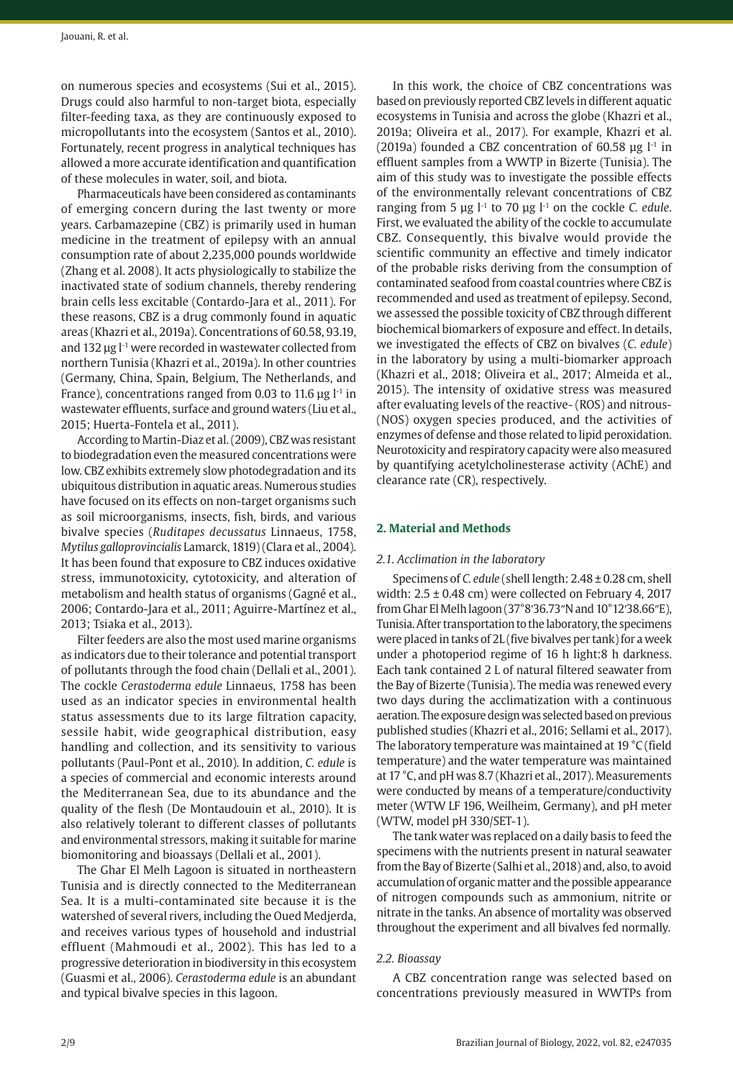on numerous species and ecosystems (Sui et al., 2015). Drugs could also harmful to non-target biota, especially filter-feeding taxa, as they are continuously exposed to micropollutants into the ecosystem (Santos et al., 2010). Fortunately, recent progress in analytical techniques has allowed a more accurate identification and quantification of these molecules in water, soil, and biota.

Pharmaceuticals have been considered as contaminants of emerging concern during the last twenty or more years. Carbamazepine (CBZ) is primarily used in human medicine in the treatment of epilepsy with an annual consumption rate of about 2,235,000 pounds worldwide (Zhang et al. 2008). It acts physiologically to stabilize the inactivated state of sodium channels, thereby rendering brain cells less excitable (Contardo-Jara et al., 2011). For these reasons, CBZ is a drug commonly found in aquatic areas (Khazri et al., 2019a). Concentrations of 60.58, 93.19, and 132  $\mu$ g l<sup>-1</sup> were recorded in wastewater collected from northern Tunisia (Khazri et al., 2019a). In other countries (Germany, China, Spain, Belgium, The Netherlands, and France), concentrations ranged from 0.03 to 11.6  $\mu$ g l<sup>-1</sup> in wastewater effluents, surface and ground waters (Liu et al., 2015; Huerta-Fontela et al., 2011).

According to Martin-Diaz et al. (2009), CBZ was resistant to biodegradation even the measured concentrations were low. CBZ exhibits extremely slow photodegradation and its ubiquitous distribution in aquatic areas. Numerous studies have focused on its effects on non-target organisms such as soil microorganisms, insects, fish, birds, and various bivalve species (*Ruditapes decussatus* Linnaeus, 1758, *Mytilus galloprovincialis* Lamarck, 1819) (Clara et al., 2004). It has been found that exposure to CBZ induces oxidative stress, immunotoxicity, cytotoxicity, and alteration of metabolism and health status of organisms (Gagné et al., 2006; Contardo-Jara et al., 2011; Aguirre-Martínez et al., 2013; Tsiaka et al., 2013).

Filter feeders are also the most used marine organisms as indicators due to their tolerance and potential transport of pollutants through the food chain (Dellali et al., 2001). The cockle *Cerastoderma edule* Linnaeus, 1758 has been used as an indicator species in environmental health status assessments due to its large filtration capacity, sessile habit, wide geographical distribution, easy handling and collection, and its sensitivity to various pollutants (Paul-Pont et al., 2010). In addition, *C. edule* is a species of commercial and economic interests around the Mediterranean Sea, due to its abundance and the quality of the flesh (De Montaudouin et al., 2010). It is also relatively tolerant to different classes of pollutants and environmental stressors, making it suitable for marine biomonitoring and bioassays (Dellali et al., 2001).

The Ghar El Melh Lagoon is situated in northeastern Tunisia and is directly connected to the Mediterranean Sea. It is a multi-contaminated site because it is the watershed of several rivers, including the Oued Medjerda, and receives various types of household and industrial effluent (Mahmoudi et al., 2002). This has led to a progressive deterioration in biodiversity in this ecosystem (Guasmi et al., 2006). *Cerastoderma edule* is an abundant and typical bivalve species in this lagoon.

In this work, the choice of CBZ concentrations was based on previously reported CBZ levels in different aquatic ecosystems in Tunisia and across the globe (Khazri et al., 2019a; Oliveira et al., 2017). For example, Khazri et al. (2019a) founded a CBZ concentration of 60.58  $\mu$ g l<sup>-1</sup> in effluent samples from a WWTP in Bizerte (Tunisia). The aim of this study was to investigate the possible effects of the environmentally relevant concentrations of CBZ ranging from 5 µg l-1 to 70 µg l-1 on the cockle *C. edule*. First, we evaluated the ability of the cockle to accumulate CBZ. Consequently, this bivalve would provide the scientific community an effective and timely indicator of the probable risks deriving from the consumption of contaminated seafood from coastal countries where CBZ is recommended and used as treatment of epilepsy. Second, we assessed the possible toxicity of CBZ through different biochemical biomarkers of exposure and effect. In details, we investigated the effects of CBZ on bivalves (*C. edule*) in the laboratory by using a multi-biomarker approach (Khazri et al., 2018; Oliveira et al., 2017; Almeida et al., 2015). The intensity of oxidative stress was measured after evaluating levels of the reactive- (ROS) and nitrous- (NOS) oxygen species produced, and the activities of enzymes of defense and those related to lipid peroxidation. Neurotoxicity and respiratory capacity were also measured by quantifying acetylcholinesterase activity (AChE) and clearance rate (CR), respectively.

## **2. Material and Methods**

## *2.1. Acclimation in the laboratory*

Specimens of *C. edule* (shell length: 2.48 ± 0.28 cm, shell width:  $2.5 \pm 0.48$  cm) were collected on February 4, 2017 from Ghar El Melh lagoon (37°8ʹ36.73″N and 10°12ʹ38.66″E), Tunisia. After transportation to the laboratory, the specimens were placed in tanks of 2L (five bivalves per tank) for a week under a photoperiod regime of 16 h light:8 h darkness. Each tank contained 2 L of natural filtered seawater from the Bay of Bizerte (Tunisia). The media was renewed every two days during the acclimatization with a continuous aeration. The exposure design was selected based on previous published studies (Khazri et al., 2016; Sellami et al., 2017). The laboratory temperature was maintained at 19 °C (field temperature) and the water temperature was maintained at 17 °C, and pH was 8.7 (Khazri et al., 2017). Measurements were conducted by means of a temperature/conductivity meter (WTW LF 196, Weilheim, Germany), and pH meter (WTW, model pH 330/SET-1).

The tank water was replaced on a daily basis to feed the specimens with the nutrients present in natural seawater from the Bay of Bizerte (Salhi et al., 2018) and, also, to avoid accumulation of organic matter and the possible appearance of nitrogen compounds such as ammonium, nitrite or nitrate in the tanks. An absence of mortality was observed throughout the experiment and all bivalves fed normally.

## *2.2. Bioassay*

A CBZ concentration range was selected based on concentrations previously measured in WWTPs from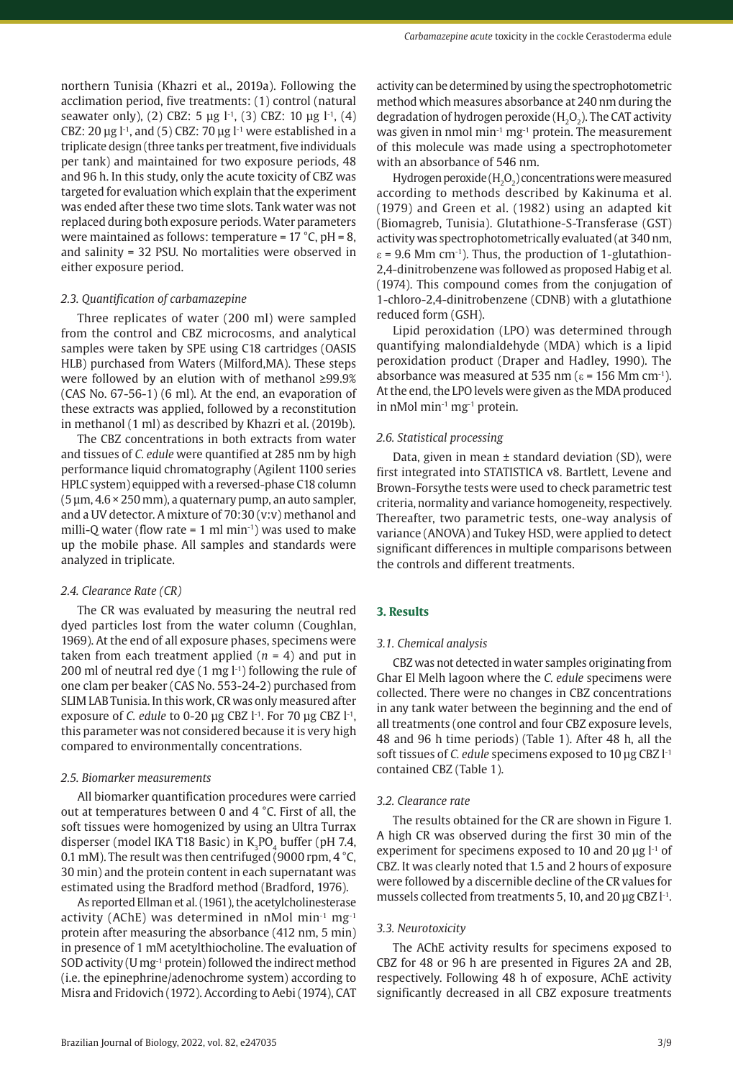northern Tunisia (Khazri et al., 2019a). Following the acclimation period, five treatments: (1) control (natural seawater only), (2) CBZ: 5 μg l<sup>-1</sup>, (3) CBZ: 10 μg l<sup>-1</sup>, (4) CBZ: 20  $\mu$ g l<sup>-1</sup>, and (5) CBZ: 70  $\mu$ g l<sup>-1</sup> were established in a triplicate design (three tanks per treatment, five individuals per tank) and maintained for two exposure periods, 48 and 96 h. In this study, only the acute toxicity of CBZ was targeted for evaluation which explain that the experiment was ended after these two time slots. Tank water was not replaced during both exposure periods. Water parameters were maintained as follows: temperature =  $17 \text{ °C}$ , pH = 8, and salinity = 32 PSU. No mortalities were observed in either exposure period.

#### *2.3. Quantification of carbamazepine*

Three replicates of water (200 ml) were sampled from the control and CBZ microcosms, and analytical samples were taken by SPE using C18 cartridges (OASIS HLB) purchased from Waters (Milford,MA). These steps were followed by an elution with of methanol ≥99.9% (CAS No. 67-56-1) (6 ml). At the end, an evaporation of these extracts was applied, followed by a reconstitution in methanol (1 ml) as described by Khazri et al. (2019b).

The CBZ concentrations in both extracts from water and tissues of *C. edule* were quantified at 285 nm by high performance liquid chromatography (Agilent 1100 series HPLC system) equipped with a reversed-phase C18 column  $(5 \mu m, 4.6 \times 250 \text{ mm})$ , a quaternary pump, an auto sampler, and a UV detector. A mixture of 70:30 (v:v) methanol and milli-Q water (flow rate = 1 ml min $^{-1}$ ) was used to make up the mobile phase. All samples and standards were analyzed in triplicate.

#### *2.4. Clearance Rate (CR)*

The CR was evaluated by measuring the neutral red dyed particles lost from the water column (Coughlan, 1969). At the end of all exposure phases, specimens were taken from each treatment applied  $(n = 4)$  and put in 200 ml of neutral red dye  $(1 \text{ mg } l^{-1})$  following the rule of one clam per beaker (CAS No. 553-24-2) purchased from SLIM LAB Tunisia. In this work, CR was only measured after exposure of *C. edule* to 0-20 μg CBZ l<sup>-1</sup>. For 70 μg CBZ l<sup>-1</sup>, this parameter was not considered because it is very high compared to environmentally concentrations.

#### *2.5. Biomarker measurements*

All biomarker quantification procedures were carried out at temperatures between 0 and 4 °C. First of all, the soft tissues were homogenized by using an Ultra Turrax disperser (model IKA T18 Basic) in  $K_3PO_4$  buffer (pH 7.4, 0.1 mM). The result was then centrifuged (9000 rpm, 4 °C, 30 min) and the protein content in each supernatant was estimated using the Bradford method (Bradford, 1976).

As reported Ellman et al. (1961), the acetylcholinesterase activity (AChE) was determined in nMol min<sup>-1</sup> mg<sup>-1</sup> protein after measuring the absorbance (412 nm, 5 min) in presence of 1 mM acetylthiocholine. The evaluation of SOD activity (U mg-1 protein) followed the indirect method (i.e. the epinephrine/adenochrome system) according to Misra and Fridovich (1972). According to Aebi (1974), CAT activity can be determined by using the spectrophotometric method which measures absorbance at 240 nm during the degradation of hydrogen peroxide  $(H_2O_2)$ . The CAT activity was given in nmol min<sup>-1</sup> mg<sup>-1</sup> protein. The measurement of this molecule was made using a spectrophotometer with an absorbance of 546 nm.

Hydrogen peroxide  $(H_2O_2)$  concentrations were measured according to methods described by Kakinuma et al. (1979) and Green et al. (1982) using an adapted kit (Biomagreb, Tunisia). Glutathione-S-Transferase (GST) activity was spectrophotometrically evaluated (at 340 nm,  $\varepsilon$  = 9.6 Mm cm<sup>-1</sup>). Thus, the production of 1-glutathion-2,4-dinitrobenzene was followed as proposed Habig et al. (1974). This compound comes from the conjugation of 1-chloro-2,4-dinitrobenzene (CDNB) with a glutathione reduced form (GSH).

Lipid peroxidation (LPO) was determined through quantifying malondialdehyde (MDA) which is a lipid peroxidation product (Draper and Hadley, 1990). The absorbance was measured at 535 nm ( $\epsilon$  = 156 Mm cm<sup>-1</sup>). At the end, the LPO levels were given as the MDA produced in nMol min-1 mg-1 protein.

#### *2.6. Statistical processing*

Data, given in mean ± standard deviation (SD), were first integrated into STATISTICA v8. Bartlett, Levene and Brown-Forsythe tests were used to check parametric test criteria, normality and variance homogeneity, respectively. Thereafter, two parametric tests, one-way analysis of variance (ANOVA) and Tukey HSD, were applied to detect significant differences in multiple comparisons between the controls and different treatments.

## **3. Results**

#### *3.1. Chemical analysis*

CBZ was not detected in water samples originating from Ghar El Melh lagoon where the *C. edule* specimens were collected. There were no changes in CBZ concentrations in any tank water between the beginning and the end of all treatments (one control and four CBZ exposure levels, 48 and 96 h time periods) (Table 1). After 48 h, all the soft tissues of *C. edule* specimens exposed to 10 μg CBZ l-1 contained CBZ (Table 1).

#### *3.2. Clearance rate*

The results obtained for the CR are shown in Figure 1. A high CR was observed during the first 30 min of the experiment for specimens exposed to 10 and 20  $\mu$ g l<sup>-1</sup> of CBZ. It was clearly noted that 1.5 and 2 hours of exposure were followed by a discernible decline of the CR values for mussels collected from treatments 5, 10, and 20 µg CBZ l<sup>-1</sup>.

#### *3.3. Neurotoxicity*

The AChE activity results for specimens exposed to CBZ for 48 or 96 h are presented in Figures 2A and 2B, respectively. Following 48 h of exposure, AChE activity significantly decreased in all CBZ exposure treatments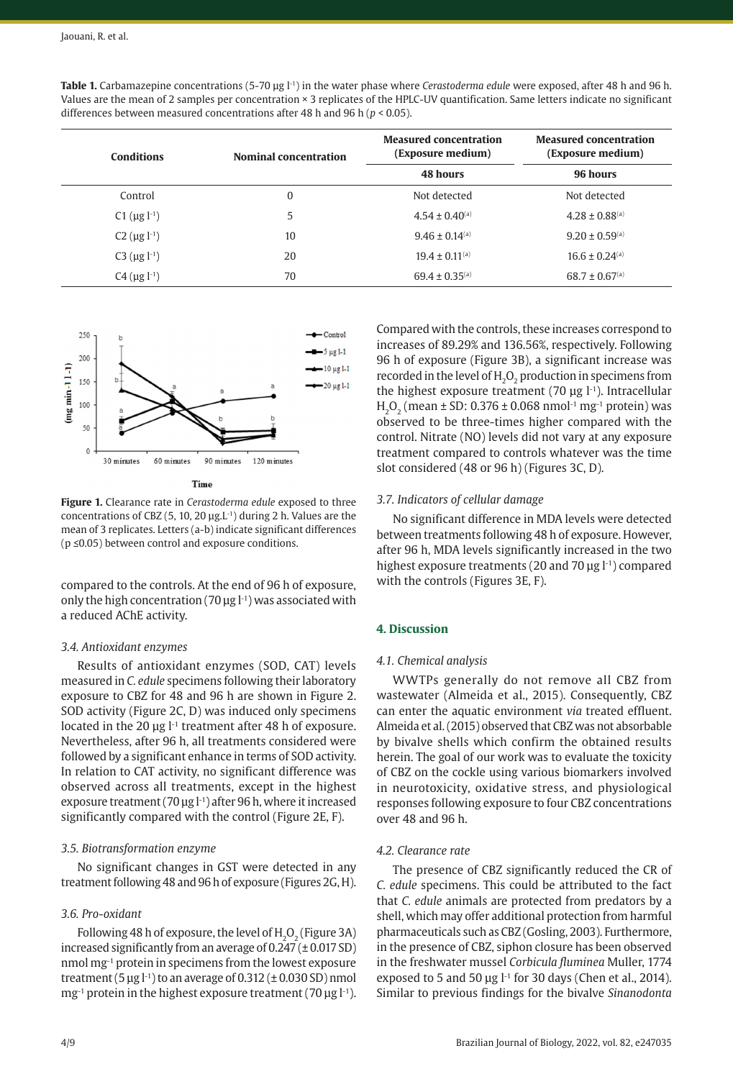| <b>Conditions</b>              | <b>Nominal concentration</b> | <b>Measured concentration</b><br>(Exposure medium)<br>48 hours | <b>Measured concentration</b><br>(Exposure medium)<br>96 hours |
|--------------------------------|------------------------------|----------------------------------------------------------------|----------------------------------------------------------------|
|                                |                              |                                                                |                                                                |
| C1 ( $\mu$ g l <sup>-1</sup> ) | 5                            | $4.54 \pm 0.40$ <sup>(a)</sup>                                 | $4.28 \pm 0.88$ <sup>(a)</sup>                                 |
| C2 $(\mu g l^{-1})$            | 10                           | $9.46 \pm 0.14$ <sup>(a)</sup>                                 | $9.20 \pm 0.59$ <sup>(a)</sup>                                 |
| C3 ( $\mu$ g l <sup>-1</sup> ) | 20                           | $19.4 \pm 0.11^{(a)}$                                          | $16.6 \pm 0.24$ <sup>(a)</sup>                                 |
| $C4 (\mu g l^{-1})$            | 70                           | $69.4 \pm 0.35$ <sup>(a)</sup>                                 | $68.7 \pm 0.67$ <sup>(a)</sup>                                 |





Time

**Figure 1.** Clearance rate in *Cerastoderma edule* exposed to three concentrations of CBZ (5, 10, 20  $\mu$ g.L<sup>-1</sup>) during 2 h. Values are the mean of 3 replicates. Letters (a-b) indicate significant differences (p ≤0.05) between control and exposure conditions.

compared to the controls. At the end of 96 h of exposure, only the high concentration (70  $\mu$ g l<sup>-1</sup>) was associated with a reduced AChE activity.

#### *3.4. Antioxidant enzymes*

Results of antioxidant enzymes (SOD, CAT) levels measured in *C. edule* specimens following their laboratory exposure to CBZ for 48 and 96 h are shown in Figure 2. SOD activity (Figure 2C, D) was induced only specimens located in the 20 μg l<sup>-1</sup> treatment after 48 h of exposure. Nevertheless, after 96 h, all treatments considered were followed by a significant enhance in terms of SOD activity. In relation to CAT activity, no significant difference was observed across all treatments, except in the highest exposure treatment (70 μg l<sup>-1</sup>) after 96 h, where it increased significantly compared with the control (Figure 2E, F).

## *3.5. Biotransformation enzyme*

No significant changes in GST were detected in any treatment following 48 and 96 h of exposure (Figures 2G, H).

## *3.6. Pro-oxidant*

Following 48 h of exposure, the level of  $H_2O_2$  (Figure 3A) increased significantly from an average of  $0.247 (\pm 0.017 \text{ SD})$ nmol mg-1 protein in specimens from the lowest exposure treatment  $(5 \text{ µg } l^{-1})$  to an average of  $0.312 (\pm 0.030 \text{ SD})$  nmol  $mg^{-1}$  protein in the highest exposure treatment (70  $\mu$ g l<sup>-1</sup>).

Compared with the controls, these increases correspond to increases of 89.29% and 136.56%, respectively. Following 96 h of exposure (Figure 3B), a significant increase was recorded in the level of H<sub>2</sub>O<sub>2</sub> production in specimens from the highest exposure treatment (70  $\mu$ g l<sup>-1</sup>). Intracellular H<sub>2</sub>O<sub>2</sub> (mean  $\pm$  SD: 0.376  $\pm$  0.068 nmol<sup>-1</sup> mg<sup>-1</sup> protein) was observed to be three-times higher compared with the control. Nitrate (NO) levels did not vary at any exposure treatment compared to controls whatever was the time slot considered (48 or 96 h) (Figures 3C, D).

## *3.7. Indicators of cellular damage*

No significant difference in MDA levels were detected between treatments following 48 h of exposure. However, after 96 h, MDA levels significantly increased in the two highest exposure treatments (20 and 70 μg l<sup>-1</sup>) compared with the controls (Figures 3E, F).

## **4. Discussion**

## *4.1. Chemical analysis*

WWTPs generally do not remove all CBZ from wastewater (Almeida et al., 2015). Consequently, CBZ can enter the aquatic environment *via* treated effluent. Almeida et al. (2015) observed that CBZ was not absorbable by bivalve shells which confirm the obtained results herein. The goal of our work was to evaluate the toxicity of CBZ on the cockle using various biomarkers involved in neurotoxicity, oxidative stress, and physiological responses following exposure to four CBZ concentrations over 48 and 96 h.

## *4.2. Clearance rate*

The presence of CBZ significantly reduced the CR of *C. edule* specimens. This could be attributed to the fact that *C. edule* animals are protected from predators by a shell, which may offer additional protection from harmful pharmaceuticals such as CBZ (Gosling, 2003). Furthermore, in the presence of CBZ, siphon closure has been observed in the freshwater mussel *Corbicula fluminea* Muller, 1774 exposed to 5 and 50  $\mu$ g l<sup>-1</sup> for 30 days (Chen et al., 2014). Similar to previous findings for the bivalve *Sinanodonta*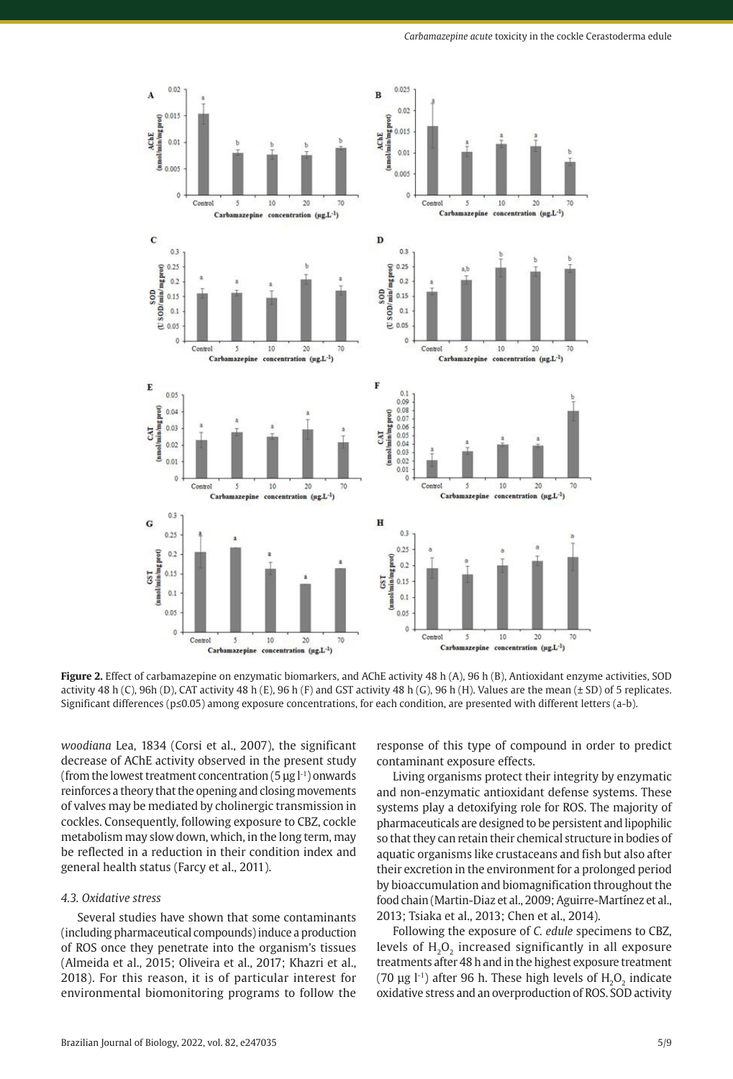

**Figure 2.** Effect of carbamazepine on enzymatic biomarkers, and AChE activity 48 h (A), 96 h (B), Antioxidant enzyme activities, SOD activity 48 h (C), 96h (D), CAT activity 48 h (E), 96 h (F) and GST activity 48 h (G), 96 h (H). Values are the mean  $(\pm$  SD) of 5 replicates. Significant differences (p≤0.05) among exposure concentrations, for each condition, are presented with different letters (a-b).

*woodiana* Lea, 1834 (Corsi et al., 2007), the significant decrease of AChE activity observed in the present study (from the lowest treatment concentration  $(5 \mu g l^{-1})$  onwards reinforces a theory that the opening and closing movements of valves may be mediated by cholinergic transmission in cockles. Consequently, following exposure to CBZ, cockle metabolism may slow down, which, in the long term, may be reflected in a reduction in their condition index and general health status (Farcy et al., 2011).

#### *4.3. Oxidative stress*

Several studies have shown that some contaminants (including pharmaceutical compounds) induce a production of ROS once they penetrate into the organism's tissues (Almeida et al., 2015; Oliveira et al., 2017; Khazri et al., 2018). For this reason, it is of particular interest for environmental biomonitoring programs to follow the

response of this type of compound in order to predict contaminant exposure effects.

Living organisms protect their integrity by enzymatic and non-enzymatic antioxidant defense systems. These systems play a detoxifying role for ROS. The majority of pharmaceuticals are designed to be persistent and lipophilic so that they can retain their chemical structure in bodies of aquatic organisms like crustaceans and fish but also after their excretion in the environment for a prolonged period by bioaccumulation and biomagnification throughout the food chain (Martin-Diaz et al., 2009; Aguirre-Martínez et al., 2013; Tsiaka et al., 2013; Chen et al., 2014).

Following the exposure of *C. edule* specimens to CBZ, levels of  $H_2O_2$  increased significantly in all exposure treatments after 48 h and in the highest exposure treatment (70  $\mu$ g l<sup>-1</sup>) after 96 h. These high levels of H<sub>2</sub>O<sub>2</sub> indicate oxidative stress and an overproduction of ROS. SOD activity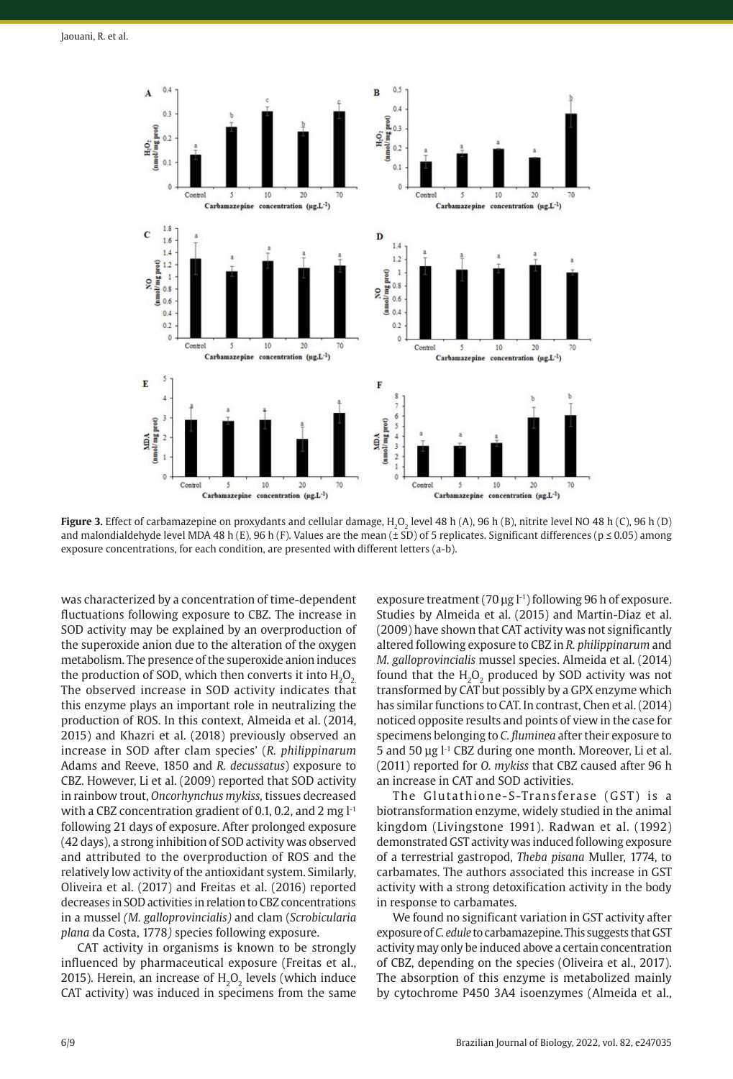

**Figure 3.** Effect of carbamazepine on proxydants and cellular damage, H.O. level 48 h (A), 96 h (B), nitrite level NO 48 h (C), 96 h (D) and malondialdehyde level MDA 48 h (E), 96 h (F). Values are the mean ( $\pm$  SD) of 5 replicates. Significant differences ( $p \le 0.05$ ) among exposure concentrations, for each condition, are presented with different letters (a-b).

was characterized by a concentration of time-dependent fluctuations following exposure to CBZ. The increase in SOD activity may be explained by an overproduction of the superoxide anion due to the alteration of the oxygen metabolism. The presence of the superoxide anion induces the production of SOD, which then converts it into  $H_2O_2$ . The observed increase in SOD activity indicates that this enzyme plays an important role in neutralizing the production of ROS. In this context, Almeida et al. (2014, 2015) and Khazri et al. (2018) previously observed an increase in SOD after clam species' (*R. philippinarum* Adams and Reeve, 1850 and *R. decussatus*) exposure to CBZ. However, Li et al. (2009) reported that SOD activity in rainbow trout, *Oncorhynchus mykiss,* tissues decreased with a CBZ concentration gradient of 0.1, 0.2, and 2 mg  $l<sup>-1</sup>$ following 21 days of exposure. After prolonged exposure (42 days), a strong inhibition of SOD activity was observed and attributed to the overproduction of ROS and the relatively low activity of the antioxidant system. Similarly, Oliveira et al. (2017) and Freitas et al. (2016) reported decreases in SOD activities in relation to CBZ concentrations in a mussel *(M. galloprovincialis)* and clam (*Scrobicularia plana* da Costa, 1778*)* species following exposure.

CAT activity in organisms is known to be strongly influenced by pharmaceutical exposure (Freitas et al., 2015). Herein, an increase of  $H<sub>2</sub>O<sub>2</sub>$  levels (which induce CAT activity) was induced in specimens from the same

exposure treatment (70 ug l<sup>-1</sup>) following 96 h of exposure. Studies by Almeida et al. (2015) and Martin-Diaz et al. (2009) have shown that CAT activity was not significantly altered following exposure to CBZ in *R. philippinarum* and *M. galloprovincialis* mussel species. Almeida et al. (2014) found that the  $H<sub>2</sub>O<sub>2</sub>$  produced by SOD activity was not transformed by CAT but possibly by a GPX enzyme which has similar functions to CAT. In contrast, Chen et al. (2014) noticed opposite results and points of view in the case for specimens belonging to *C. fluminea* after their exposure to 5 and 50 μg l-1 CBZ during one month. Moreover, Li et al. (2011) reported for *O. mykiss* that CBZ caused after 96 h an increase in CAT and SOD activities.

The Glutathione-S-Transferase (GST) is a biotransformation enzyme, widely studied in the animal kingdom (Livingstone 1991). Radwan et al. (1992) demonstrated GST activity was induced following exposure of a terrestrial gastropod, *Theba pisana* Muller, 1774, to carbamates. The authors associated this increase in GST activity with a strong detoxification activity in the body in response to carbamates.

We found no significant variation in GST activity after exposure of *C. edule* to carbamazepine. This suggests that GST activity may only be induced above a certain concentration of CBZ, depending on the species (Oliveira et al., 2017). The absorption of this enzyme is metabolized mainly by cytochrome P450 3A4 isoenzymes (Almeida et al.,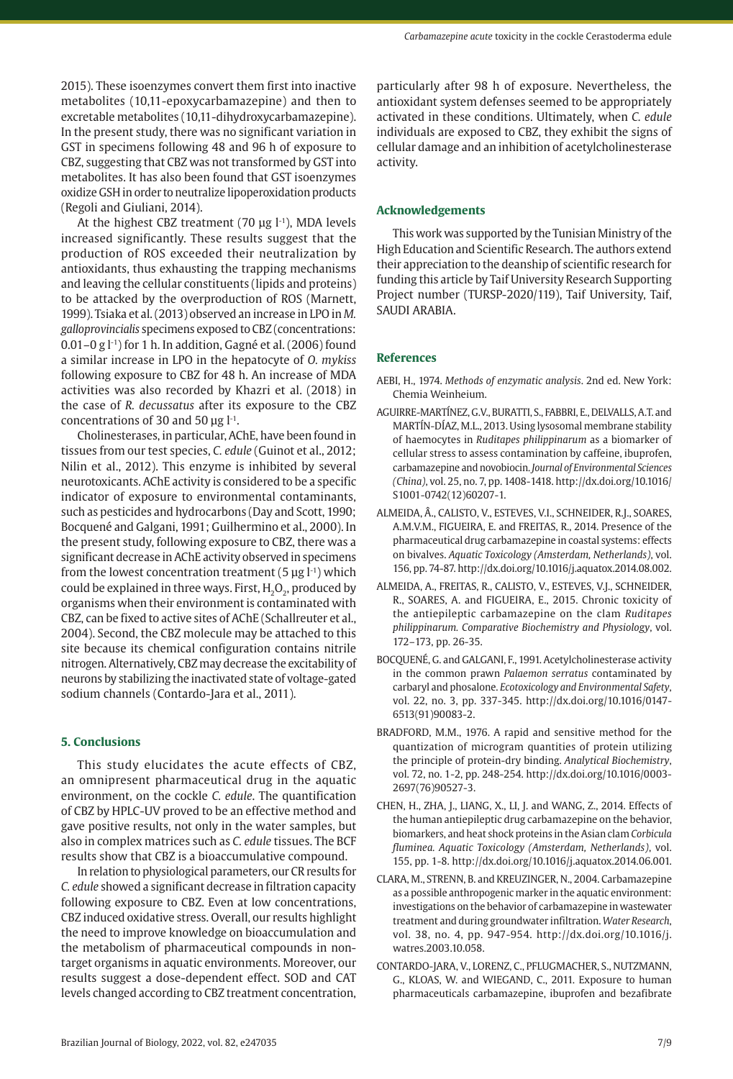2015). These isoenzymes convert them first into inactive metabolites (10,11-epoxycarbamazepine) and then to excretable metabolites (10,11-dihydroxycarbamazepine). In the present study, there was no significant variation in GST in specimens following 48 and 96 h of exposure to CBZ, suggesting that CBZ was not transformed by GST into metabolites. It has also been found that GST isoenzymes oxidize GSH in order to neutralize lipoperoxidation products (Regoli and Giuliani, 2014).

At the highest CBZ treatment (70  $\mu$ g l<sup>-1</sup>), MDA levels increased significantly. These results suggest that the production of ROS exceeded their neutralization by antioxidants, thus exhausting the trapping mechanisms and leaving the cellular constituents (lipids and proteins) to be attacked by the overproduction of ROS (Marnett, 1999). Tsiaka et al. (2013) observed an increase in LPO in *M. galloprovincialis* specimens exposed to CBZ (concentrations:  $0.01-0$  g  $1-1$  for 1 h. In addition, Gagné et al. (2006) found a similar increase in LPO in the hepatocyte of *O. mykiss* following exposure to CBZ for 48 h. An increase of MDA activities was also recorded by Khazri et al. (2018) in the case of *R. decussatus* after its exposure to the CBZ concentrations of 30 and 50  $\mu$ g l<sup>-1</sup>.

Cholinesterases, in particular, AChE, have been found in tissues from our test species, *C. edule* (Guinot et al., 2012; Nilin et al., 2012). This enzyme is inhibited by several neurotoxicants. AChE activity is considered to be a specific indicator of exposure to environmental contaminants, such as pesticides and hydrocarbons (Day and Scott, 1990; Bocquené and Galgani, 1991; Guilhermino et al., 2000). In the present study, following exposure to CBZ, there was a significant decrease in AChE activity observed in specimens from the lowest concentration treatment (5  $\mu$ g l<sup>-1</sup>) which could be explained in three ways. First,  $H_2O_2$ , produced by organisms when their environment is contaminated with CBZ, can be fixed to active sites of AChE (Schallreuter et al., 2004). Second, the CBZ molecule may be attached to this site because its chemical configuration contains nitrile nitrogen. Alternatively, CBZ may decrease the excitability of neurons by stabilizing the inactivated state of voltage-gated sodium channels (Contardo-Jara et al., 2011).

# **5. Conclusions**

This study elucidates the acute effects of CBZ, an omnipresent pharmaceutical drug in the aquatic environment, on the cockle *C. edule*. The quantification of CBZ by HPLC-UV proved to be an effective method and gave positive results, not only in the water samples, but also in complex matrices such as *C. edule* tissues. The BCF results show that CBZ is a bioaccumulative compound.

In relation to physiological parameters, our CR results for *C. edule* showed a significant decrease in filtration capacity following exposure to CBZ. Even at low concentrations, CBZ induced oxidative stress. Overall, our results highlight the need to improve knowledge on bioaccumulation and the metabolism of pharmaceutical compounds in nontarget organisms in aquatic environments. Moreover, our results suggest a dose-dependent effect. SOD and CAT levels changed according to CBZ treatment concentration, particularly after 98 h of exposure. Nevertheless, the antioxidant system defenses seemed to be appropriately activated in these conditions. Ultimately, when *C. edule* individuals are exposed to CBZ, they exhibit the signs of cellular damage and an inhibition of acetylcholinesterase activity.

# **Acknowledgements**

This work was supported by the Tunisian Ministry of the High Education and Scientific Research. The authors extend their appreciation to the deanship of scientific research for funding this article by Taif University Research Supporting Project number (TURSP-2020/119), Taif University, Taif, SAUDI ARABIA.

## **References**

- AEBI, H., 1974. *Methods of enzymatic analysis*. 2nd ed. New York: Chemia Weinheium.
- AGUIRRE-MARTÍNEZ, G.V., BURATTI, S., FABBRI, E., DELVALLS, A.T. and MARTÍN-DÍAZ, M.L., 2013. Using lysosomal membrane stability of haemocytes in *Ruditapes philippinarum* as a biomarker of cellular stress to assess contamination by caffeine, ibuprofen, carbamazepine and novobiocin. *Journal of Environmental Sciences (China)*, vol. 25, no. 7, pp. 1408-1418. [http://dx.doi.org/10.1016/](https://doi.org/10.1016/S1001-0742(12)60207-1) [S1001-0742\(12\)60207-1.](https://doi.org/10.1016/S1001-0742(12)60207-1)
- ALMEIDA, Â., CALISTO, V., ESTEVES, V.I., SCHNEIDER, R.J., SOARES, A.M.V.M., FIGUEIRA, E. and FREITAS, R., 2014. Presence of the pharmaceutical drug carbamazepine in coastal systems: effects on bivalves. *Aquatic Toxicology (Amsterdam, Netherlands)*, vol. 156, pp. 74-87. [http://dx.doi.org/10.1016/j.aquatox.2014.08.002](https://doi.org/10.1016/j.aquatox.2014.08.002).
- ALMEIDA, A., FREITAS, R., CALISTO, V., ESTEVES, V.J., SCHNEIDER, R., SOARES, A. and FIGUEIRA, E., 2015. Chronic toxicity of the antiepileptic carbamazepine on the clam *Ruditapes philippinarum. Comparative Biochemistry and Physiology*, vol. 172–173, pp. 26-35.
- BOCQUENÉ, G. and GALGANI, F., 1991. Acetylcholinesterase activity in the common prawn *Palaemon serratus* contaminated by carbaryl and phosalone. *Ecotoxicology and Environmental Safety*, vol. 22, no. 3, pp. 337-345. [http://dx.doi.org/10.1016/0147-](https://doi.org/10.1016/0147-6513(91)90083-2) [6513\(91\)90083-2](https://doi.org/10.1016/0147-6513(91)90083-2).
- BRADFORD, M.M., 1976. A rapid and sensitive method for the quantization of microgram quantities of protein utilizing the principle of protein-dry binding. *Analytical Biochemistry*, vol. 72, no. 1-2, pp. 248-254. [http://dx.doi.org/10.1016/0003-](https://doi.org/10.1016/0003-2697(76)90527-3) [2697\(76\)90527-3.](https://doi.org/10.1016/0003-2697(76)90527-3)
- CHEN, H., ZHA, J., LIANG, X., LI, J. and WANG, Z., 2014. Effects of the human antiepileptic drug carbamazepine on the behavior, biomarkers, and heat shock proteins in the Asian clam *Corbicula fluminea. Aquatic Toxicology (Amsterdam, Netherlands)*, vol. 155, pp. 1-8. [http://dx.doi.org/10.1016/j.aquatox.2014.06.001](https://doi.org/10.1016/j.aquatox.2014.06.001).
- CLARA, M., STRENN, B. and KREUZINGER, N., 2004. Carbamazepine as a possible anthropogenic marker in the aquatic environment: investigations on the behavior of carbamazepine in wastewater treatment and during groundwater infiltration. *Water Research*, vol. 38, no. 4, pp. 947-954. [http://dx.doi.org/10.1016/j.](https://doi.org/10.1016/j.watres.2003.10.058) [watres.2003.10.058.](https://doi.org/10.1016/j.watres.2003.10.058)
- CONTARDO-JARA, V., LORENZ, C., PFLUGMACHER, S., NUTZMANN, G., KLOAS, W. and WIEGAND, C., 2011. Exposure to human pharmaceuticals carbamazepine, ibuprofen and bezafibrate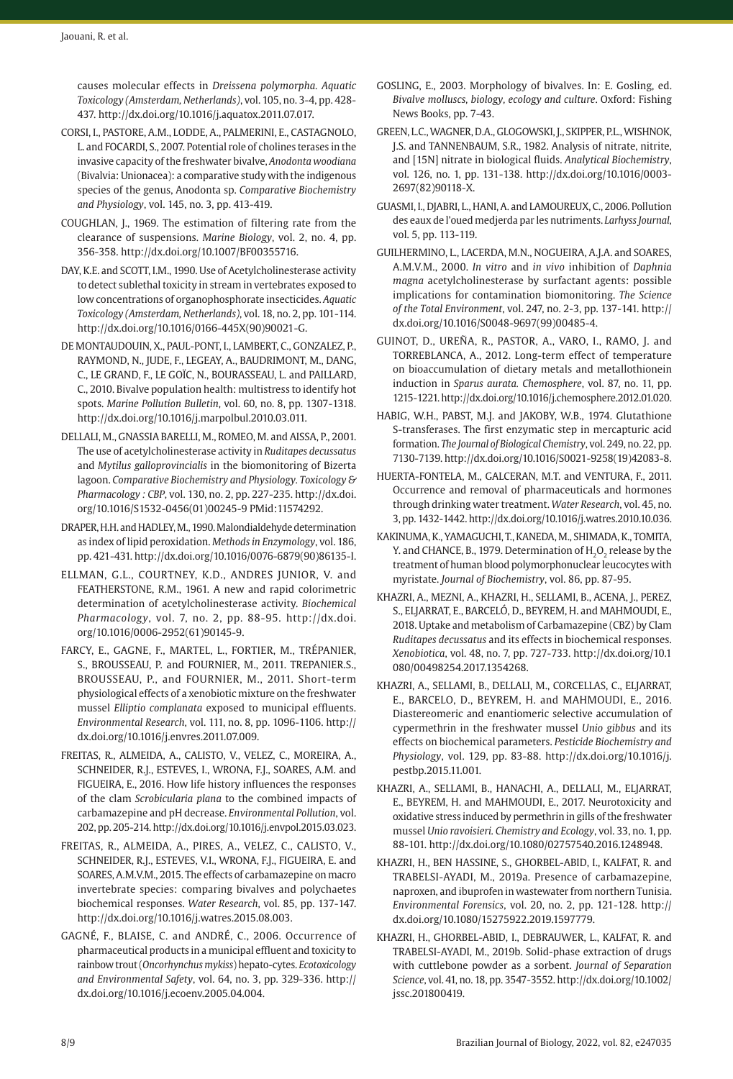causes molecular effects in *Dreissena polymorpha. Aquatic Toxicology (Amsterdam, Netherlands)*, vol. 105, no. 3-4, pp. 428- 437. [http://dx.doi.org/10.1016/j.aquatox.2011.07.017](https://doi.org/10.1016/j.aquatox.2011.07.017).

- CORSI, I., PASTORE, A.M., LODDE, A., PALMERINI, E., CASTAGNOLO, L. and FOCARDI, S., 2007. Potential role of cholines terases in the invasive capacity of the freshwater bivalve, *Anodonta woodiana* (Bivalvia: Unionacea): a comparative study with the indigenous species of the genus, Anodonta sp. *Comparative Biochemistry and Physiology*, vol. 145, no. 3, pp. 413-419.
- COUGHLAN, J., 1969. The estimation of filtering rate from the clearance of suspensions. *Marine Biology*, vol. 2, no. 4, pp. 356-358. [http://dx.doi.org/10.1007/BF00355716](https://doi.org/10.1007/BF00355716).
- DAY, K.E. and SCOTT, I.M., 1990. Use of Acetylcholinesterase activity to detect sublethal toxicity in stream in vertebrates exposed to low concentrations of organophosphorate insecticides. *Aquatic Toxicology (Amsterdam, Netherlands)*, vol. 18, no. 2, pp. 101-114. [http://dx.doi.org/10.1016/0166-445X\(90\)90021-G](https://doi.org/10.1016/0166-445X(90)90021-G).
- DE MONTAUDOUIN, X., PAUL-PONT, I., LAMBERT, C., GONZALEZ, P., RAYMOND, N., JUDE, F., LEGEAY, A., BAUDRIMONT, M., DANG, C., LE GRAND, F., LE GOÏC, N., BOURASSEAU, L. and PAILLARD, C., 2010. Bivalve population health: multistress to identify hot spots. *Marine Pollution Bulletin*, vol. 60, no. 8, pp. 1307-1318. [http://dx.doi.org/10.1016/j.marpolbul.2010.03.011](https://doi.org/10.1016/j.marpolbul.2010.03.011).
- DELLALI, M., GNASSIA BARELLI, M., ROMEO, M. and AISSA, P., 2001. The use of acetylcholinesterase activity in *Ruditapes decussatus* and *Mytilus galloprovincialis* in the biomonitoring of Bizerta lagoon. *Comparative Biochemistry and Physiology. Toxicology & Pharmacology : CBP*, vol. 130, no. 2, pp. 227-235. [http://dx.doi.](https://doi.org/10.1016/S1532-0456(01)00245-9) [org/10.1016/S1532-0456\(01\)00245-9](https://doi.org/10.1016/S1532-0456(01)00245-9) [PMid:11574292.](https://www.ncbi.nlm.nih.gov/entrez/query.fcgi?cmd=Retrieve&db=PubMed&list_uids=11574292&dopt=Abstract)
- DRAPER, H.H. and HADLEY, M., 1990. Malondialdehyde determination as index of lipid peroxidation. *Methods in Enzymology*, vol. 186, pp. 421-431. [http://dx.doi.org/10.1016/0076-6879\(90\)86135-I](https://doi.org/10.1016/0076-6879(90)86135-I).
- ELLMAN, G.L., COURTNEY, K.D., ANDRES JUNIOR, V. and FEATHERSTONE, R.M., 1961. A new and rapid colorimetric determination of acetylcholinesterase activity. *Biochemical Pharmacology*, vol. 7, no. 2, pp. 88-95. [http://dx.doi.](https://doi.org/10.1016/0006-2952(61)90145-9) [org/10.1016/0006-2952\(61\)90145-9](https://doi.org/10.1016/0006-2952(61)90145-9).
- FARCY, E., GAGNE, F., MARTEL, L., FORTIER, M., TRÉPANIER, S., BROUSSEAU, P. and FOURNIER, M., 2011. TREPANIER.S., BROUSSEAU, P., and FOURNIER, M., 2011. Short-term physiological effects of a xenobiotic mixture on the freshwater mussel *Elliptio complanata* exposed to municipal effluents. *Environmental Research*, vol. 111, no. 8, pp. 1096-1106. [http://](https://doi.org/10.1016/j.envres.2011.07.009) [dx.doi.org/10.1016/j.envres.2011.07.009.](https://doi.org/10.1016/j.envres.2011.07.009)
- FREITAS, R., ALMEIDA, A., CALISTO, V., VELEZ, C., MOREIRA, A., SCHNEIDER, R.J., ESTEVES, I., WRONA, F.J., SOARES, A.M. and FIGUEIRA, E., 2016. How life history influences the responses of the clam *Scrobicularia plana* to the combined impacts of carbamazepine and pH decrease. *Environmental Pollution*, vol. 202, pp. 205-214. [http://dx.doi.org/10.1016/j.envpol.2015.03.023](https://doi.org/10.1016/j.envpol.2015.03.023).
- FREITAS, R., ALMEIDA, A., PIRES, A., VELEZ, C., CALISTO, V., SCHNEIDER, R.J., ESTEVES, V.I., WRONA, F.J., FIGUEIRA, E. and SOARES, A.M.V.M., 2015. The effects of carbamazepine on macro invertebrate species: comparing bivalves and polychaetes biochemical responses. *Water Research*, vol. 85, pp. 137-147. [http://dx.doi.org/10.1016/j.watres.2015.08.003](https://doi.org/10.1016/j.watres.2015.08.003).
- GAGNÉ, F., BLAISE, C. and ANDRÉ, C., 2006. Occurrence of pharmaceutical products in a municipal effluent and toxicity to rainbow trout (*Oncorhynchus mykiss*) hepato-cytes. *Ecotoxicology and Environmental Safety*, vol. 64, no. 3, pp. 329-336. [http://](https://doi.org/10.1016/j.ecoenv.2005.04.004) [dx.doi.org/10.1016/j.ecoenv.2005.04.004.](https://doi.org/10.1016/j.ecoenv.2005.04.004)
- GOSLING, E., 2003. Morphology of bivalves. In: E. Gosling, ed. *Bivalve molluscs, biology, ecology and culture*. Oxford: Fishing News Books, pp. 7-43.
- GREEN, L.C., WAGNER, D.A., GLOGOWSKI, J., SKIPPER, P.L., WISHNOK, J.S. and TANNENBAUM, S.R., 1982. Analysis of nitrate, nitrite, and [15N] nitrate in biological fluids. *Analytical Biochemistry*, vol. 126, no. 1, pp. 131-138. [http://dx.doi.org/10.1016/0003-](https://doi.org/10.1016/0003-2697(82)90118-X) [2697\(82\)90118-X](https://doi.org/10.1016/0003-2697(82)90118-X).
- GUASMI, I., DJABRI, L., HANI, A. and LAMOUREUX, C., 2006. Pollution des eaux de l'oued medjerda par les nutriments. *Larhyss Journal*, vol. 5, pp. 113-119.
- GUILHERMINO, L., LACERDA, M.N., NOGUEIRA, A.J.A. and SOARES, A.M.V.M., 2000. *In vitro* and *in vivo* inhibition of *Daphnia magna* acetylcholinesterase by surfactant agents: possible implications for contamination biomonitoring. *The Science of the Total Environment*, vol. 247, no. 2-3, pp. 137-141. [http://](https://doi.org/10.1016/S0048-9697(99)00485-4) [dx.doi.org/10.1016/S0048-9697\(99\)00485-4.](https://doi.org/10.1016/S0048-9697(99)00485-4)
- GUINOT, D., UREÑA, R., PASTOR, A., VARO, I., RAMO, J. and TORREBLANCA, A., 2012. Long-term effect of temperature on bioaccumulation of dietary metals and metallothionein induction in *Sparus aurata. Chemosphere*, vol. 87, no. 11, pp. 1215-1221. [http://dx.doi.org/10.1016/j.chemosphere.2012.01.020](https://doi.org/10.1016/j.chemosphere.2012.01.020).
- HABIG, W.H., PABST, M.J. and JAKOBY, W.B., 1974. Glutathione S-transferases. The first enzymatic step in mercapturic acid formation. *The Journal of Biological Chemistry*, vol. 249, no. 22, pp. 7130-7139. [http://dx.doi.org/10.1016/S0021-9258\(19\)42083-8](https://doi.org/10.1016/S0021-9258(19)42083-8).
- HUERTA-FONTELA, M., GALCERAN, M.T. and VENTURA, F., 2011. Occurrence and removal of pharmaceuticals and hormones through drinking water treatment. *Water Research*, vol. 45, no. 3, pp. 1432-1442. [http://dx.doi.org/10.1016/j.watres.2010.10.036](https://doi.org/10.1016/j.watres.2010.10.036).
- KAKINUMA, K., YAMAGUCHI, T., KANEDA, M., SHIMADA, K., TOMITA, Y. and CHANCE, B., 1979. Determination of H<sub>2</sub>O<sub>2</sub> release by the treatment of human blood polymorphonuclear leucocytes with myristate. *Journal of Biochemistry*, vol. 86, pp. 87-95.
- KHAZRI, A., MEZNI, A., KHAZRI, H., SELLAMI, B., ACENA, J., PEREZ, S., ELJARRAT, E., BARCELÓ, D., BEYREM, H. and MAHMOUDI, E., 2018. Uptake and metabolism of Carbamazepine (CBZ) by Clam *Ruditapes decussatus* and its effects in biochemical responses. *Xenobiotica*, vol. 48, no. 7, pp. 727-733. [http://dx.doi.org/10.1](https://doi.org/10.1080/00498254.2017.1354268) [080/00498254.2017.1354268](https://doi.org/10.1080/00498254.2017.1354268).
- KHAZRI, A., SELLAMI, B., DELLALI, M., CORCELLAS, C., ELJARRAT, E., BARCELO, D., BEYREM, H. and MAHMOUDI, E., 2016. Diastereomeric and enantiomeric selective accumulation of cypermethrin in the freshwater mussel *Unio gibbus* and its effects on biochemical parameters. *Pesticide Biochemistry and Physiology*, vol. 129, pp. 83-88. [http://dx.doi.org/10.1016/j.](https://doi.org/10.1016/j.pestbp.2015.11.001) [pestbp.2015.11.001](https://doi.org/10.1016/j.pestbp.2015.11.001).
- KHAZRI, A., SELLAMI, B., HANACHI, A., DELLALI, M., ELJARRAT, E., BEYREM, H. and MAHMOUDI, E., 2017. Neurotoxicity and oxidative stress induced by permethrin in gills of the freshwater mussel *Unio ravoisieri. Chemistry and Ecology*, vol. 33, no. 1, pp. 88-101. [http://dx.doi.org/10.1080/02757540.2016.1248948.](https://doi.org/10.1080/02757540.2016.1248948)
- KHAZRI, H., BEN HASSINE, S., GHORBEL-ABID, I., KALFAT, R. and TRABELSI-AYADI, M., 2019a. Presence of carbamazepine, naproxen, and ibuprofen in wastewater from northern Tunisia. *Environmental Forensics*, vol. 20, no. 2, pp. 121-128. [http://](https://doi.org/10.1080/15275922.2019.1597779) [dx.doi.org/10.1080/15275922.2019.1597779.](https://doi.org/10.1080/15275922.2019.1597779)
- KHAZRI, H., GHORBEL-ABID, I., DEBRAUWER, L., KALFAT, R. and TRABELSI-AYADI, M., 2019b. Solid-phase extraction of drugs with cuttlebone powder as a sorbent. *Journal of Separation Science*, vol. 41, no. 18, pp. 3547-3552. [http://dx.doi.org/10.1002/](https://doi.org/10.1002/jssc.201800419) [jssc.201800419](https://doi.org/10.1002/jssc.201800419).